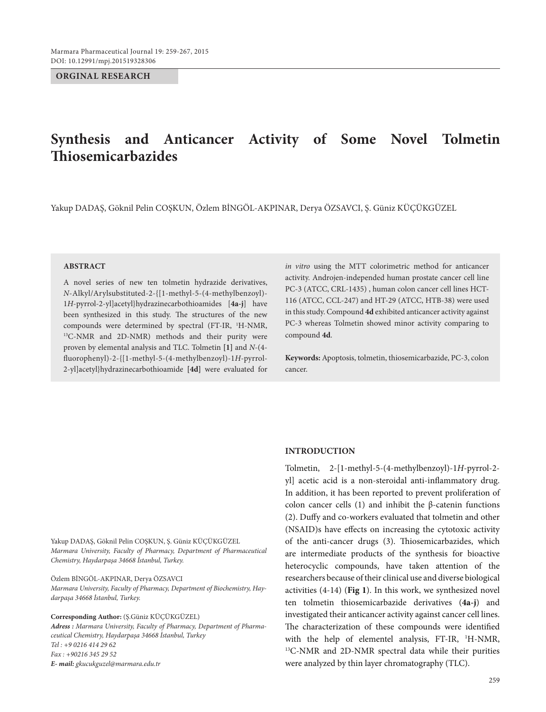**ORGINAL RESEARCH**

# **Synthesis and Anticancer Activity of Some Novel Tolmetin Thiosemicarbazides**

Yakup DADAŞ, Göknil Pelin COŞKUN, Özlem BİNGÖL-AKPINAR, Derya ÖZSAVCI, Ş. Güniz KÜÇÜKGÜZEL

### **ABSTRACT**

A novel series of new ten tolmetin hydrazide derivatives, *N*-Alkyl/Arylsubstituted-2-{[1-methyl-5-(4-methylbenzoyl)- 1*H*-pyrrol-2-yl]acetyl}hydrazinecarbothioamides [**4a-j**] have been synthesized in this study. The structures of the new compounds were determined by spectral (FT-IR, <sup>1</sup>H-NMR, <sup>13</sup>C-NMR and 2D-NMR) methods and their purity were proven by elemental analysis and TLC. Tolmetin **[1]** and *N*-(4 fluorophenyl)-2-{[1-methyl-5-(4-methylbenzoyl)-1*H-*pyrrol-2-yl]acetyl}hydrazinecarbothioamide **[4d]** were evaluated for

*in vitro* using the MTT colorimetric method for anticancer activity. Androjen-independed human prostate cancer cell line PC-3 (ATCC, CRL-1435) , human colon cancer cell lines HCT-116 (ATCC, CCL-247) and HT-29 (ATCC, HTB-38) were used in this study. Compound **4d** exhibited anticancer activity against PC-3 whereas Tolmetin showed minor activity comparing to compound **4d**.

**Keywords:** Apoptosis, tolmetin, thiosemicarbazide, PC-3, colon cancer.

Yakup DADAŞ, Göknil Pelin COŞKUN, Ş. Güniz KÜÇÜKGÜZEL *Marmara University, Faculty of Pharmacy, Department of Pharmaceutical Chemistry, Haydarpaşa 34668 İstanbul, Turkey.*

Özlem BİNGÖL-AKPINAR, Derya ÖZSAVCI *Marmara University, Faculty of Pharmacy, Department of Biochemistry, Haydarpaşa 34668 İstanbul, Turkey.*

**Corresponding Author:** (Ş.Güniz KÜÇÜKGÜZEL) *Adress : Marmara University, Faculty of Pharmacy, Department of Pharmaceutical Chemistry, Haydarpaşa 34668 İstanbul, Turkey Tel : +9 0216 414 29 62 Fax : +90216 345 29 52 E- mail: gkucukguzel@marmara.edu.tr*

### **INTRODUCTION**

Tolmetin, 2-[1-methyl-5-(4-methylbenzoyl)-1*H*-pyrrol-2 yl] acetic acid is a non-steroidal anti-inflammatory drug. In addition, it has been reported to prevent proliferation of colon cancer cells (1) and inhibit the β-catenin functions (2). Duffy and co-workers evaluated that tolmetin and other (NSAID)s have effects on increasing the cytotoxic activity of the anti-cancer drugs (3). Thiosemicarbazides, which are intermediate products of the synthesis for bioactive heterocyclic compounds, have taken attention of the researchers because of their clinical use and diverse biological activities (4-14) (**Fig 1**). In this work, we synthesized novel ten tolmetin thiosemicarbazide derivatives (**4a-j**) and investigated their anticancer activity against cancer cell lines. The characterization of these compounds were identified with the help of elementel analysis, FT-IR, <sup>1</sup>H-NMR, 13C-NMR and 2D-NMR spectral data while their purities were analyzed by thin layer chromatography (TLC).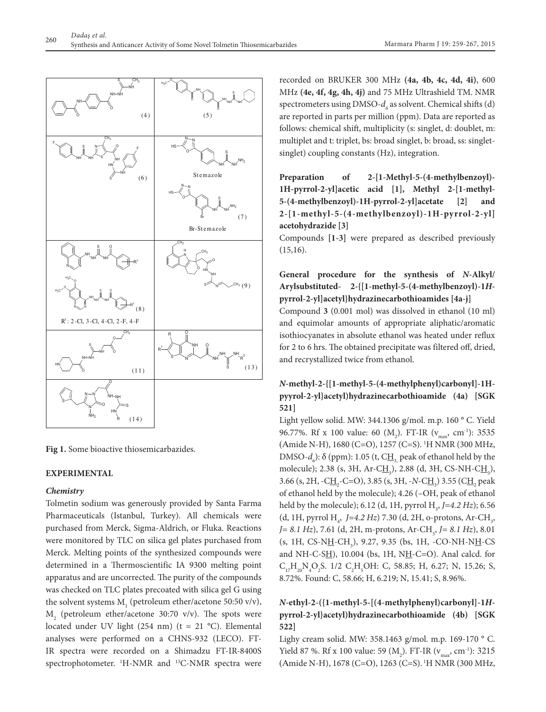

**Fig 1.** Some bioactive thiosemicarbazides.

### **EXPERIMENTAL**

### *Chemistry*

Tolmetin sodium was generously provided by Santa Farma Pharmaceuticals (Istanbul, Turkey). All chemicals were purchased from Merck, Sigma-Aldrich, or Fluka. Reactions were monitored by TLC on silica gel plates purchased from Merck. Melting points of the synthesized compounds were determined in a Thermoscientific IA 9300 melting point apparatus and are uncorrected. The purity of the compounds was checked on TLC plates precoated with silica gel G using the solvent systems  $M<sub>1</sub>$  (petroleum ether/acetone 50:50 v/v),  $M<sub>2</sub>$  (petroleum ether/acetone 30:70 v/v). The spots were located under UV light (254 nm) ( $t = 21$  °C). Elemental analyses were performed on a CHNS-932 (LECO). FT-IR spectra were recorded on a Shimadzu FT-IR-8400S spectrophotometer. <sup>1</sup>H-NMR and <sup>13</sup>C-NMR spectra were

recorded on BRUKER 300 MHz **(4a, 4b, 4c, 4d, 4i)**, 600 MHz **(4e, 4f, 4g, 4h, 4j)** and 75 MHz Ultrashield TM. NMR spectrometers using DMSO- $d_{\epsilon}$  as solvent. Chemical shifts (d) are reported in parts per million (ppm). Data are reported as follows: chemical shift, multiplicity (s: singlet, d: doublet, m: multiplet and t: triplet, bs: broad singlet, b: broad, ss: singletsinglet) coupling constants (Hz), integration.

**Preparation of 2-[1-Methyl-5-(4-methylbenzoyl)- 1H-pyrrol-2-yl]acetic acid [1], Methyl 2-[1-methyl-**5-(4-methylbenzoyl)-1H-pyrrol-2-yl]acetate [2] **2-[1-methyl-5-(4-methylbenzoyl)-1H-pyrrol-2-yl] acetohydrazide [3]**

Compounds **[1-3]** were prepared as described previously  $(15,16)$ .

# **General procedure for the synthesis of** *N***-Alkyl/ Arylsubstituted- 2-{[1-methyl-5-(4-methylbenzoyl)-1***H***pyrrol-2-yl]acetyl}hydrazinecarbothioamides [4a-j]**

Compound **3** (0.001 mol) was dissolved in ethanol (10 ml) and equimolar amounts of appropriate aliphatic/aromatic isothiocyanates in absolute ethanol was heated under reflux for 2 to 6 hrs. The obtained precipitate was filtered off, dried, and recrystallized twice from ethanol.

# *N***-methyl-2-{[1-methyl-5-(4-methylphenyl)carbonyl]-1Hpyyrol-2-yl}acetyl)hydrazinecarbothioamide (4a) [SGK 521]**

Light yellow solid. MW: 344.1306 g/mol. m.p. 160 ° C. Yield 96.77%. Rf x 100 value: 60 (M<sub>2</sub>). FT-IR ( $v_{\text{max}}$ , cm<sup>-1</sup>): 3535 (Amide N-H), 1680 (C=O), 1257 (C=S). 1 H NMR (300 MHz, DMSO- $d_6$ ): δ (ppm): 1.05 (t, C<u>H<sub>3,</sub></u> peak of ethanol held by the molecule); 2.38 (s, 3H, Ar-C<u>H<sub>3</sub>), 2.88 (d, 3H, CS-NH-CH<sub>3</sub>),</u> 3.66 (s, 2H, -C<u>H<sub>2</sub></u>-C=O), 3.85 (s, 3H, -*N*-C<u>H</u><sub>3</sub>) 3.55 (C<u>H<sub>2</sub></u> peak of ethanol held by the molecule); 4.26 (–OH, peak of ethanol held by the molecule); 6.12 (d, 1H, pyrrol H<sub>3</sub>, J=4.2 Hz); 6.56 (d, 1H, pyrrol H<sub>4</sub>, J=4.2 Hz) 7.30 (d, 2H, o-protons, Ar-CH<sub>3</sub>, *J*= 8.1 *Hz*), 7.61 (d, 2H, m-protons, Ar-CH<sub>3</sub>, *J*= 8.1 *Hz*), 8.01 (s, 1H, CS-N<u>H</u>-CH<sub>3</sub>), 9.27, 9.35 (bs, 1H, -CO-NH-N<u>H</u>-CS and NH-C-S $H$ ), 10.004 (bs, 1H, N $H$ -C=O). Anal calcd. for  $C_{17}H_{20}N_4O_2S$ . 1/2  $C_2H_5OH$ : C, 58.85; H, 6.27; N, 15.26; S, 8.72%. Found: C, 58.66; H, 6.219; N, 15.41; S, 8.96%.

# *N***-ethyl-2-({1-methyl-5-[(4-methylphenyl)carbonyl]-1***H***pyrrol-2-yl}acetyl)hydrazinecarbothioamide (4b) [SGK 522]**

Lighy cream solid. MW: 358.1463 g/mol. m.p. 169-170 ° C. Yield 87 %. Rf x 100 value: 59 (M<sub>2</sub>). FT-IR ( $v_{\text{max}}$ , cm<sup>-1</sup>): 3215 (Amide N-H), 1678 (C=O), 1263 (C=S). 1H NMR (300 MHz,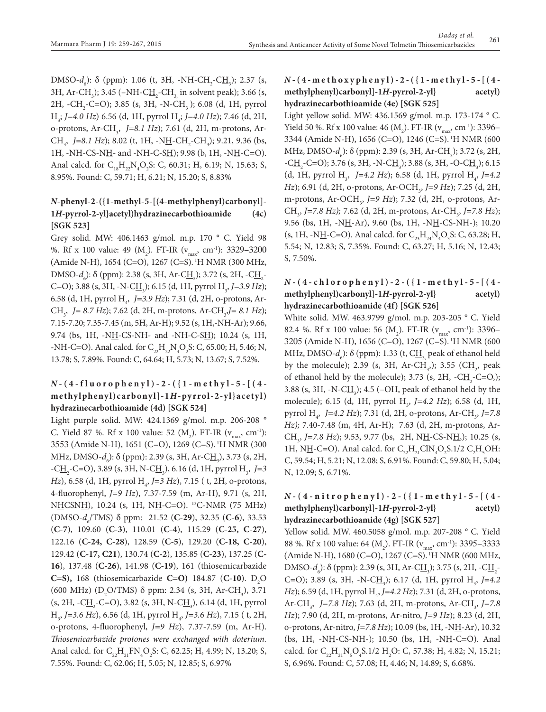DMSO-*d*<sub>6</sub>): δ (ppm): 1.06 (t, 3H, -NH-CH<sub>2</sub>-C<u>H</u><sub>3</sub>); 2.37 (s, 3H, Ar-CH<sub>3</sub>); 3.45 (–NH-C<u>H<sub>2</sub></u>-CH<sub>3,</sub> in solvent peak); 3.66 (s, 2H, -C<u>H</u><sub>2</sub>-C=O); 3.85 (s, 3H, -N-C<u>H</u><sub>3</sub>); 6.08 (d, 1H, pyrrol H3 ; *J=4.0 Hz*) 6.56 (d, 1H, pyrrol H4 ; *J=4.0 Hz*); 7.46 (d, 2H, o-protons, Ar-CH3 , *J=8.1 Hz*); 7.61 (d, 2H, m-protons, Ar-CH<sub>3</sub>, J=8.1 Hz); 8.02 (t, 1H, -N<u>H</u>-CH<sub>2</sub>-CH<sub>3</sub>); 9.21, 9.36 (bs, 1H, -NH-CS-NH- and -NH-C-SH); 9.98 (b, 1H, -NH-C=O). Anal calcd. for  $C_{18}H_{22}N_4O_2S$ : C, 60.31; H, 6.19; N, 15.63; S, 8.95%. Found: C, 59.71; H, 6.21; N, 15.20; S, 8.83%

# *N***-phenyl-2-({1-methyl-5-[(4-methylphenyl)carbonyl]- 1***H***-pyrrol-2-yl}acetyl)hydrazinecarbothioamide (4c) [SGK 523]**

Grey solid. MW: 406.1463 g/mol. m.p. 170 ° C. Yield 98 %. Rf x 100 value: 49 (M<sub>2</sub>). FT-IR (v<sub>max</sub>, cm<sup>-1</sup>): 3329–3200 (Amide N-H), 1654 (C=O), 1267 (C=S). 1H NMR (300 MHz, DMSO*-d<sub>6</sub>*): δ (ppm): 2.38 (s, 3H, Ar-C<u>H<sub>3</sub></u>); 3.72 (s, 2H, -C<u>H<sub>2</sub></u>-C=O); 3.88 (s, 3H, -N-C<u>H<sub>3</sub></u>); 6.15 (d, 1H, pyrrol H<sub>3</sub>, *J*=3.9 *Hz*); 6.58 (d, 1H, pyrrol H4 , *J=3.9 Hz*); 7.31 (d, 2H, o-protons, Ar-CH<sub>3</sub>, *J*= 8.7 Hz); 7.62 (d, 2H, m-protons, Ar-CH<sub>3</sub>, *J*= 8.1 Hz); 7.15-7.20; 7.35-7.45 (m, 5H, Ar-H); 9.52 (s, 1H,-NH-Ar); 9.66, 9.74 (bs, 1H, -NH-CS-NH- and -NH-C-SH); 10.24 (s, 1H, -NH-C=O). Anal calcd. for  $C_{22}H_{22}N_4O_2S$ : C, 65.00; H, 5.46; N, 13.78; S, 7.89%. Found: C, 64.64; H, 5.73; N, 13.67; S, 7.52%.

# *N* **-(4-fluorophenyl)-2-({1-methyl-5-[(4 methylphenyl)carbonyl]-1***H***-py rrol-2-yl}acetyl) hydrazinecarbothioamide (4d) [SGK 524]**

Light purple solid. MW: 424.1369 g/mol. m.p. 206-208 ° C. Yield 87 %. Rf x 100 value: 52  $(M_2)$ . FT-IR  $(v_{max}, cm^{-1})$ : 3553 (Amide N-H), 1651 (C=O), 1269 (C=S). 1H NMR (300 MHz, DMSO*-d<sub>6</sub>*): δ (ppm): 2.39 (s, 3H, Ar-C<u>H</u><sub>3</sub>), 3.73 (s, 2H, -C<u>H</u><sub>2</sub>-C=O), 3.89 (s, 3H, N-C<u>H</u><sub>3</sub>), 6.16 (d, 1H, pyrrol H<sub>3</sub>, *J*=3 *Hz*), 6.58 (d, 1H, pyrrol H<sub>4</sub>, *J*=3 *Hz*), 7.15 ( t, 2H, o-protons, 4-fluorophenyl, *J=9 Hz*), 7.37-7.59 (m, Ar-H), 9.71 (s, 2H, NHCSNH), 10.24 (s, 1H, NH-C=O). <sup>13</sup>C-NMR (75 MHz) (DMSO-*d6* /TMS) δ ppm: 21.52 (**C-29**), 32.35 (**C-6**), 33.53 (**C-7**), 109.60 (**C-3**), 110.01 (**C-4**), 115.29 (**C-25, C-27**), 122.16 (**C-24, C-28**), 128.59 (**C-5**), 129.20 (**C-18, C-20**), 129.42 (**C-17, C21**), 130.74 (**C-2**), 135.85 (**C-23**), 137.25 (**C-16**), 137.48 (**C-26**), 141.98 (**C-19**), 161 (thiosemicarbazide **C=S),** 168 (thiosemicarbazide **C=O**) 184.87 (**C-10**). D<sub>2</sub>O (600 MHz) (D<sub>2</sub>O/TMS)  $\delta$  ppm: 2.34 (s, 3H, Ar-C<u>H<sub>3</sub></u>), 3.71 (s, 2H, -C<u>H</u><sub>2</sub>-C=O), 3.82 (s, 3H, N-C<u>H</u><sub>3</sub>), 6.14 (d, 1H, pyrrol H<sub>3</sub>, J=3.6 Hz), 6.56 (d, 1H, pyrrol H<sub>4</sub>, J=3.6 Hz), 7.15 (t, 2H, o-protons, 4-fluorophenyl, *J=9 Hz*), 7.37-7.59 (m, Ar-H). *Thiosemicarbazide protones were exchanged with doterium.* Anal calcd. for  $C_{22}H_{21}FN_{4}O_{2}S$ : C, 62.25; H, 4.99; N, 13.20; S, 7.55%. Found: C, 62.06; H, 5.05; N, 12.85; S, 6.97%

# *N* **-(4-methoxyphenyl)-2-({1-methyl-5-[(4 methylphenyl)carbonyl]-1***H***-pyrrol-2-yl} acetyl) hydrazinecarbothioamide (4e) [SGK 525]**

Light yellow solid. MW: 436.1569 g/mol. m.p. 173-174 ° C. Yield 50 %. Rf x 100 value: 46 (M<sub>2</sub>). FT-IR ( $v_{max}$ , cm<sup>-1</sup>): 3396– 3344 (Amide N-H), 1656 (C=O), 1246 (C=S). 1H NMR (600 MHz, DMSO*-d<sub>6</sub>*): δ (ppm): 2.39 (s, 3H, Ar-C<u>H<sub>3</sub></u>); 3.72 (s, 2H,  $-C\underline{H}_2$ -C=O); 3.76 (s, 3H, -N-C $\underline{H}_3$ ); 3.88 (s, 3H, -O-C $\underline{H}_3$ ); 6.15 (d, 1H, pyrrol H<sub>3</sub>, J=4.2 Hz); 6.58 (d, 1H, pyrrol H<sub>4</sub>, J=4.2 *Hz*); 6.91 (d, 2H, o-protons, Ar-OCH<sub>3</sub>, *J*=9 *Hz*); 7.25 (d, 2H, m-protons, Ar-OCH<sub>3</sub>, *J*=9 *Hz*); 7.32 (d, 2H, o-protons, Ar-CH<sub>3</sub>, *J*=7.8 *Hz*); 7.62 (d, 2H, m-protons, Ar-CH<sub>3</sub>, *J*=7.8 *Hz*); 9.56 (bs, 1H, -NH-Ar), 9.60 (bs, 1H, -NH-CS-NH-); 10.20 (s, 1H, -N<u>H</u>-C=O). Anal calcd. for  $C_{23}H_{24}N_4O_3S$ : C, 63.28; H, 5.54; N, 12.83; S, 7.35%. Found: C, 63.27; H, 5.16; N, 12.43; S, 7.50%.

# *N* **-(4-chlorophenyl)-2-({1-methyl-5-[(4 methylphenyl)carbonyl]-1***H***-pyrrol-2-yl} acetyl) hydrazinecarbothioamide (4f) [SGK 526]**

White solid. MW. 463.9799 g/mol. m.p. 203-205 ° C. Yield 82.4 %. Rf x 100 value: 56 (M<sub>2</sub>). FT-IR ( $v_{\text{max}}$ , cm<sup>-1</sup>): 3396– 3205 (Amide N-H), 1656 (C=O), 1267 (C=S). 1H NMR (600 MHz, DMSO*-d<sub>6</sub>*): δ (ppm): 1.33 (t, C<u>H<sub>3,</sub> peak of ethanol held</u> by the molecule); 2.39 (s, 3H, Ar-C $\underline{H}_3$ ); 3.55 (C $\underline{H}_2$ , peak of ethanol held by the molecule); 3.73 (s, 2H,  $-C\underline{H}_2$ -C=O,); 3.88 (s, 3H, -N-C $\underline{H}_3$ ); 4.5 (-OH, peak of ethanol held by the molecule); 6.15 (d, 1H, pyrrol H<sub>3</sub>, J=4.2 Hz); 6.58 (d, 1H, pyrrol H<sub>4</sub>, J=4.2 Hz); 7.31 (d, 2H, o-protons, Ar-CH<sub>3</sub>, J=7.8 *Hz);* 7.40-7.48 (m, 4H, Ar-H); 7.63 (d, 2H, m-protons, Ar-CH<sub>3</sub>, J=7.8 Hz); 9.53, 9.77 (bs, 2H, N<u>H</u>-CS-N<u>H</u>,); 10.25 (s, 1H, N<u>H</u>-C=O). Anal calcd. for  $C_{22}H_{21}CIN_4O_2S.1/2 C_2H_5OH$ : C, 59.54; H, 5.21; N, 12.08; S, 6.91%. Found: C, 59.80; H, 5.04; N, 12.09; S, 6.71%.

## *N* **-(4-nitrophenyl)-2-({1-methyl-5-[(4 methylphenyl)carbonyl]-1***H***-pyrrol-2-yl} acetyl) hydrazinecarbothioamide (4g) [SGK 527]**

Yellow solid. MW. 460.5058 g/mol. m.p. 207-208 ° C. Yield 88 %. Rf x 100 value: 64 (M<sub>2</sub>). FT-IR ( $v_{\text{max}}$ , cm<sup>-1</sup>): 3395–3333 (Amide N-H), 1680 (C=O), 1267 (C=S). 1H NMR (600 MHz, DMSO-*d*<sub>6</sub>): δ (ppm): 2.39 (s, 3H, Ar-C<u>H<sub>3</sub></u>); 3.75 (s, 2H, -C<u>H<sub>2</sub></u>-C=O); 3.89 (s, 3H, -N-C<u>H<sub>3</sub></u>); 6.17 (d, 1H, pyrrol H<sub>3</sub>, J=4.2 *Hz*); 6.59 (d, 1H, pyrrol H<sub>4</sub>, *J*=4.2 *Hz*); 7.31 (d, 2H, o-protons, Ar-CH<sub>3</sub>, J=7.8 Hz); 7.63 (d, 2H, m-protons, Ar-CH<sub>3</sub>, J=7.8 *Hz*); 7.90 (d, 2H, m-protons, Ar-nitro, *J=9 Hz*); 8.23 (d, 2H, o-protons, Ar-nitro, *J*=7.8 *Hz*); 10.09 (bs, 1H, -N<u>H</u>-Ar), 10.32 (bs, 1H,  $-NH-CS-NH-$ ); 10.50 (bs, 1H,  $-NH-C=O$ ). Anal calcd. for  $C_{22}H_{21}N_{5}O_{4}S.1/2$  H<sub>2</sub>O: C, 57.38; H, 4.82; N, 15.21; S, 6.96%. Found: C, 57.08; H, 4.46; N, 14.89; S, 6.68%.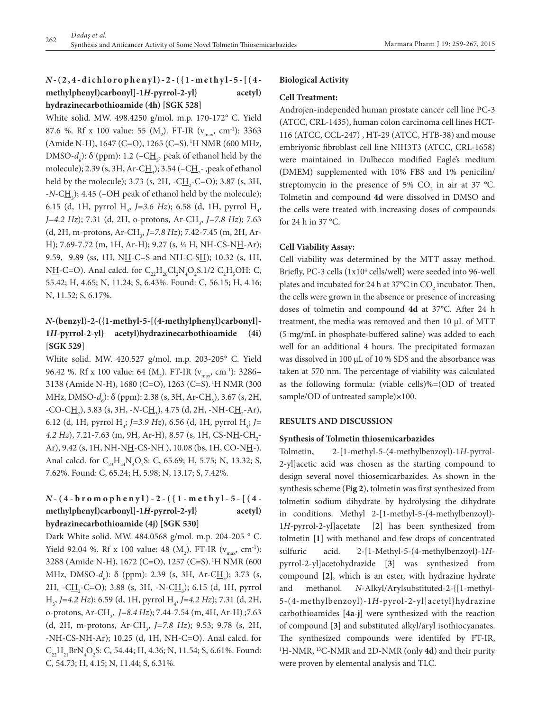# *N* **-(2,4-dichlorophenyl)-2-({1-methyl-5-[(4 methylphenyl)carbonyl]-1***H***-pyrrol-2-yl} acetyl) hydrazinecarbothioamide (4h) [SGK 528]**

White solid. MW. 498.4250 g/mol. m.p. 170-172° C. Yield 87.6 %. Rf x 100 value: 55 (M<sub>2</sub>). FT-IR ( $v_{\text{max}}$ , cm<sup>-1</sup>): 3363 (Amide N-H), 1647 (C=O), 1265 (C=S). 1H NMR (600 MHz, DMSO- $d_6$ ): δ (ppm): 1.2 (–C<u>H</u><sub>3</sub>, peak of ethanol held by the molecule); 2.39 (s, 3H, Ar-C<u>H<sub>3</sub></u>); 3.54 (–C<u>H<sub>2</sub></u>- ,peak of ethanol held by the molecule); 3.73 (s, 2H,  $-CH_2$ -C=O); 3.87 (s, 3H, -*N*-CH<sub>3</sub>); 4.45 (-OH peak of ethanol held by the molecule); 6.15 (d, 1H, pyrrol H<sub>3</sub>, *J*=3.6 *Hz*); 6.58 (d, 1H, pyrrol H<sub>4</sub>, *J*=4.2 *Hz*); 7.31 (d, 2H, o-protons, Ar-CH<sub>3</sub>, *J*=7.8 *Hz*); 7.63 (d, 2H, m-protons, Ar-CH<sub>3</sub>, J=7.8 Hz); 7.42-7.45 (m, 2H, Ar-H); 7.69-7.72 (m, 1H, Ar-H); 9.27 (s, 1/4 H, NH-CS-NH-Ar); 9.59, 9.89 (ss, 1H, NH-C=S and NH-C-SH); 10.32 (s, 1H, NH-C=O). Anal calcd. for  $C_{22}H_{20}Cl_2N_4O_2S.1/2 C_2H_5OH$ : C, 55.42; H, 4.65; N, 11.24; S, 6.43%. Found: C, 56.15; H, 4.16; N, 11.52; S, 6.17%.

# *N***-(benzyl)-2-({1-methyl-5-[(4-methylphenyl)carbonyl]- 1***H***-pyrrol-2-yl} acetyl)hydrazinecarbothioamide (4i) [SGK 529]**

White solid. MW. 420.527 g/mol. m.p. 203-205° C. Yield 96.42 %. Rf x 100 value: 64 (M<sub>2</sub>). FT-IR ( $v_{\text{max}}$ , cm<sup>-1</sup>): 3286– 3138 (Amide N-H), 1680 (C=O), 1263 (C=S). 1H NMR (300 MHz, DMSO*-d<sub>6</sub>*): δ (ppm): 2.38 (s, 3H, Ar-C<u>H</u><sub>3</sub>), 3.67 (s, 2H, -CO-C<u>H<sub>2</sub></u>), 3.83 (s, 3H, -*N*-C<u>H</u><sub>3</sub>), 4.75 (d, 2H, -NH-C<u>H</u><sub>2</sub>-Ar), 6.12 (d, 1H, pyrrol H<sub>3</sub>; *J*=3.9 *Hz*), 6.56 (d, 1H, pyrrol H<sub>4</sub>; *J*= 4*.2 Hz*), 7*.*21-7.63 (m, 9H, Ar-H), 8.57 (s, 1H, CS-N<u>H</u>-CH<sub>2</sub>-Ar), 9.42 (s, 1H, NH-NH-CS-NH), 10.08 (bs, 1H, CO-NH-). Anal calcd. for  $C_{23}H_{24}N_4O_2S$ : C, 65.69; H, 5.75; N, 13.32; S, 7.62%. Found: C, 65.24; H, 5.98; N, 13.17; S, 7.42%.

# *N* **-(4-bromophenyl)-2-({1-methyl-5-[(4 methylphenyl)carbonyl]-1***H***-pyrrol-2-yl} acetyl) hydrazinecarbothioamide (4j) [SGK 530]**

Dark White solid. MW. 484.0568 g/mol. m.p. 204-205 ° C. Yield 92.04 %. Rf x 100 value: 48  $(M_2)$ . FT-IR  $(v_{max}, cm^{-1})$ : 3288 (Amide N-H), 1672 (C=O), 1257 (C=S). 1H NMR (600 MHz, DMSO-*d<sub>6</sub>*): δ (ppm): 2.39 (s, 3H, Ar-C<u>H<sub>3</sub></u>); 3.73 (s, 2H, -C<u>H,</u>-C=O); 3.88 (s, 3H, -N-C<u>H,</u>); 6.15 (d, 1H, pyrrol H<sub>3</sub>, J=4.2 Hz); 6.59 (d, 1H, pyrrol H<sub>4</sub>, J=4.2 Hz); 7.31 (d, 2H, o-protons, Ar-CH<sub>3</sub>, J=8.4 Hz); 7.44-7.54 (m, 4H, Ar-H) ;7.63 (d, 2H, m-protons, Ar-CH<sub>3</sub>, *J*=7.8 *Hz*); 9.53; 9.78 (s, 2H, -NH-CS-NH-Ar); 10.25 (d, 1H, NH-C=O). Anal calcd. for  $C_{22}H_{21}BrN_4O_2S$ : C, 54.44; H, 4.36; N, 11.54; S, 6.61%. Found: C, 54.73; H, 4.15; N, 11.44; S, 6.31%.

### **Biological Activity**

### **Cell Treatment:**

Androjen-independed human prostate cancer cell line PC-3 (ATCC, CRL-1435), human colon carcinoma cell lines HCT-116 (ATCC, CCL-247) , HT-29 (ATCC, HTB-38) and mouse embriyonic fibroblast cell line NIH3T3 (ATCC, CRL-1658) were maintained in Dulbecco modified Eagle's medium (DMEM) supplemented with 10% FBS and 1% penicilin/ streptomycin in the presence of 5%  $CO_2$  in air at 37 °C. Tolmetin and compound **4d** were dissolved in DMSO and the cells were treated with increasing doses of compounds for 24 h in 37 °C.

### **Cell Viability Assay:**

Cell viability was determined by the MTT assay method. Briefly, PC-3 cells (1x10<sup>4</sup> cells/well) were seeded into 96-well plates and incubated for 24 h at 37°C in CO<sub>2</sub> incubator. Then, the cells were grown in the absence or presence of increasing doses of tolmetin and compound **4d** at 37°C. After 24 h treatment, the media was removed and then 10 μL of MTT (5 mg/mL in phosphate-buffered saline) was added to each well for an additional 4 hours. The precipitated formazan was dissolved in 100 μL of 10 % SDS and the absorbance was taken at 570 nm. The percentage of viability was calculated as the following formula: (viable cells)%=(OD of treated sample/OD of untreated sample)×100.

### **RESULTS AND DISCUSSION**

### **Synthesis of Tolmetin thiosemicarbazides**

Tolmetin, 2-[1-methyl-5-(4-methylbenzoyl)-1*H*-pyrrol-2-yl]acetic acid was chosen as the starting compound to design several novel thiosemicarbazides. As shown in the synthesis scheme (**Fig 2**), tolmetin was first synthesized from tolmetin sodium dihydrate by hydrolysing the dihydrate in conditions. Methyl 2-[1-methyl-5-(4-methylbenzoyl)- 1*H*-pyrrol-2-yl]acetate [**2**] has been synthesized from tolmetin **[1]** with methanol and few drops of concentrated sulfuric acid. 2-[1-Methyl-5-(4-methylbenzoyl)-1*H*pyrrol-2-yl]acetohydrazide [**3**] was synthesized from compound [**2**], which is an ester, with hydrazine hydrate and methanol. *N*-Alkyl/Arylsubstituted-2-{[1-methyl-5-(4-methylbenzoyl)-1*H*-pyrol-2-yl]acetyl}hydrazine carbothioamides **[4a-j]** were synthesized with the reaction of compound [**3**] and substituted alkyl/aryl isothiocyanates. The synthesized compounds were identifed by FT-IR, 1 H-NMR, 13C-NMR and 2D-NMR (only **4d**) and their purity were proven by elemental analysis and TLC.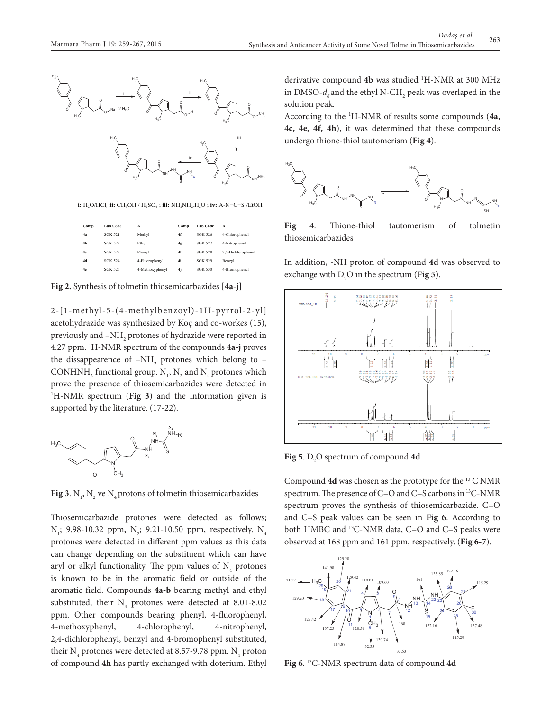**Fig 4**. Thione-thiol tautomerism of tolmetin thiosemicarbazides



**i: H**<sub>2</sub>O/HCl, **ii:** CH<sub>3</sub>OH / H<sub>2</sub>SO<sub>4</sub>; **iii:** NH<sub>2</sub>NH<sub>2</sub>.H<sub>2</sub>O; **iv:** A-N=C=S /EtOH

| Comp | Lab Code | A               | Comp           | Lab Code | A                  |
|------|----------|-----------------|----------------|----------|--------------------|
| 4а   | SGK 521  | Methyl          | 4f             | SGK 526  | 4-Chlorophenyl     |
| 4h   | SGK 522  | Ethyl           | 4g             | SGK 527  | 4-Nitrophenyl      |
| 4c   | SGK 523  | Phenvl          | 4 <sub>h</sub> | SGK 528  | 2.4-Dichlorophenvl |
| 4d   | SGK 524  | 4-Fluorophenyl  | 4i             | SGK 529  | Benzyl             |
| 4e   | SGK 525  | 4-Methoxyphenyl | 4j             | SGK 530  | 4-Bromophenyl      |

**Fig 2.** Synthesis of tolmetin thiosemicarbazides **[4a-j]**

2-[1-methyl-5-(4-methylbenzoyl)-1H-pyrrol-2-yl] acetohydrazide was synthesized by Koç and co-workes (15), previously and  $\mathbin{{\to}}\mathrm{NH}_2$  protones of hydrazide were reported in 4.27 ppm. 1 H-NMR spectrum of the compounds **4a-j** proves the dissappearence of  $-NH_{2}$  protones which belong to – CONHNH<sub>2</sub> functional group.  $N_1$ ,  $N_2$  and  $N_4$  protones which prove the presence of thiosemicarbazides were detected in 1 H-NMR spectrum (**Fig 3**) and the information given is supported by the literature. (17-22). **Fig 3**. N1, N2 ve N4 protons of tolmetin thiosemicarbazides



**Fig 3**.  $N_1$ ,  $N_2$  ve  $N_4$  protons of tolmetin thiosemicarbazides

Thiosemicarbazide protones were detected as follows;  $N_{1}$ ; 9.98-10.32 ppm,  $N_{2}$ ; 9.21-10.50 ppm, respectively.  $N_{4}$ protones were detected in different ppm values as this data can change depending on the substituent which can have aryl or alkyl functionality. The ppm values of  $N_4$  protones is known to be in the aromatic field or outside of the aromatic field. Compounds **4a-b** bearing methyl and ethyl substituted, their  $N_4$  protones were detected at 8.01-8.02 ppm. Other compounds bearing phenyl, 4-fluorophenyl, 4-methoxyphenyl, 4-chlorophenyl, 4-nitrophenyl, 2,4-dichlorophenyl, benzyl and 4-bromophenyl substituted, their  $\mathrm{N}_4$  protones were detected at 8.57-9.78 ppm.  $\mathrm{N}_4$  proton of compound **4h** has partly exchanged with doterium. Ethyl

derivative compound **4b** was studied 1 H-NMR at 300 MHz in DMSO- $d_{\delta}$  and the ethyl N-CH<sub>2</sub> peak was overlaped in the solution peak.

According to the 1 H-NMR of results some compounds (**4a**, **4c, 4e, 4f, 4h**), it was determined that these compounds undergo thione-thiol tautomerism (**Fig 4**).



**Fig 4**. Thione-thiol tautomerism of tolmetin thiosemicarbazides

In addition, -NH proton of compound **4d** was observed to exchange with  $D_2O$  in the spectrum (**Fig 5**).



**Fig 5**. D<sub>2</sub>O spectrum of compound **4d** 

Compound **4d** was chosen as the prototype for the 13 C NMR spectrum. The presence of C=O and C=S carbons in 13C-NMR spectrum proves the synthesis of thiosemicarbazide. C=O and C=S peak values can be seen in Fig 6. According to both HMBC and 13C-NMR data, C=O and C=S peaks were observed at 168 ppm and 161 ppm, respectively. (**Fig 6-7**).



**Fig 6**. 13C-NMR spectrum data of compound **4d**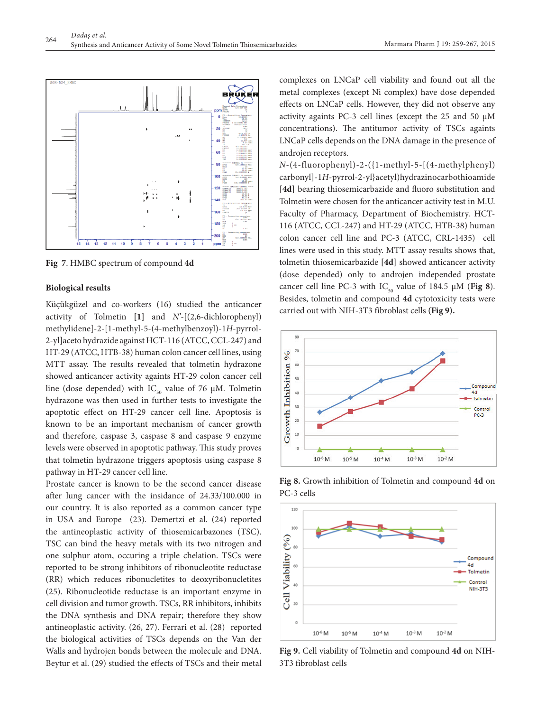

**Fig 7**. HMBC spectrum of compound **4d**

### **Biological results**

Küçükgüzel and co-workers (16) studied the anticancer activity of Tolmetin **[1]** and *N'*-[(2,6-dichlorophenyl) methylidene]-2-[1-methyl-5-(4-methylbenzoyl)-1*H*-pyrrol-2-yl]aceto hydrazide against HCT-116 (ATCC, CCL-247) and HT-29 (ATCC, HTB-38) human colon cancer cell lines, using MTT assay. The results revealed that tolmetin hydrazone showed anticancer activity againts HT-29 colon cancer cell line (dose depended) with  $IC_{50}$  value of 76 µM. Tolmetin hydrazone was then used in further tests to investigate the apoptotic effect on HT-29 cancer cell line. Apoptosis is known to be an important mechanism of cancer growth and therefore, caspase 3, caspase 8 and caspase 9 enzyme levels were observed in apoptotic pathway. This study proves that tolmetin hydrazone triggers apoptosis using caspase 8 pathway in HT-29 cancer cell line.

Prostate cancer is known to be the second cancer disease after lung cancer with the insidance of 24.33/100.000 in our country. It is also reported as a common cancer type in USA and Europe (23). Demertzi et al. (24) reported the antineoplastic activity of thiosemicarbazones (TSC). TSC can bind the heavy metals with its two nitrogen and one sulphur atom, occuring a triple chelation. TSCs were reported to be strong inhibitors of ribonucleotite reductase (RR) which reduces ribonucletites to deoxyribonucletites (25). Ribonucleotide reductase is an important enzyme in cell division and tumor growth. TSCs, RR inhibitors, inhibits the DNA synthesis and DNA repair; therefore they show antineoplastic activity. (26, 27). Ferrari et al. (28) reported the biological activities of TSCs depends on the Van der Walls and hydrojen bonds between the molecule and DNA. Beytur et al. (29) studied the effects of TSCs and their metal complexes on LNCaP cell viability and found out all the metal complexes (except Ni complex) have dose depended effects on LNCaP cells. However, they did not observe any activity againts PC-3 cell lines (except the 25 and 50 μM concentrations). The antitumor activity of TSCs againts LNCaP cells depends on the DNA damage in the presence of androjen receptors.

*N*-(4-fluorophenyl)-2-({1-methyl-5-[(4-methylphenyl) carbonyl]-1*H*-pyrrol-2-yl}acetyl)hydrazinocarbothioamide **[4d]** bearing thiosemicarbazide and fluoro substitution and Tolmetin were chosen for the anticancer activity test in M.U. Faculty of Pharmacy, Department of Biochemistry. HCT-116 (ATCC, CCL-247) and HT-29 (ATCC, HTB-38) human colon cancer cell line and PC-3 (ATCC, CRL-1435) cell lines were used in this study. MTT assay results shows that, tolmetin thiosemicarbazide **[4d]** showed anticancer activity (dose depended) only to androjen independed prostate cancer cell line PC-3 with  $IC_{50}$  value of 184.5  $\mu$ M (Fig 8). Besides, tolmetin and compound **4d** cytotoxicity tests were carried out with NIH-3T3 fibroblast cells (Fig 9).



Fig 8. Growth inhibition of Tolmetin and compound 4d on PC-3 cells



**Fig 9.** Cell viability of Tolmetin and compound **4d** on NIH-3T3 fibroblast cells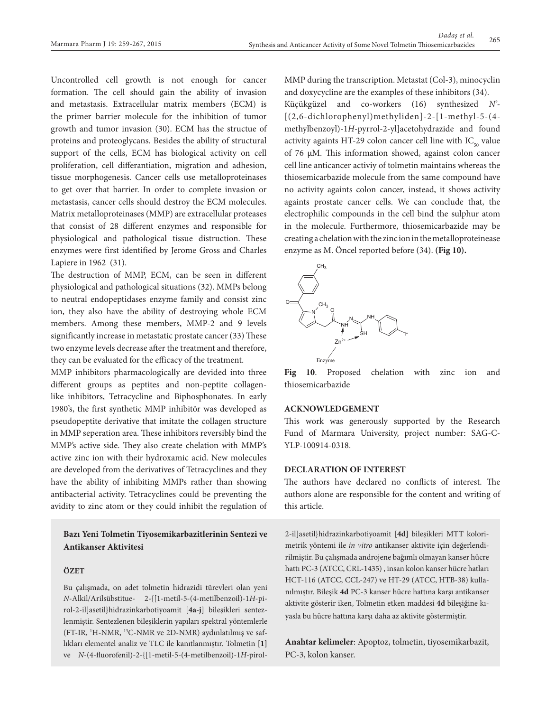Uncontrolled cell growth is not enough for cancer formation. The cell should gain the ability of invasion and metastasis. Extracellular matrix members (ECM) is the primer barrier molecule for the inhibition of tumor growth and tumor invasion (30). ECM has the structue of proteins and proteoglycans. Besides the ability of structural support of the cells, ECM has biological activity on cell proliferation, cell differantiation, migration and adhesion, tissue morphogenesis. Cancer cells use metalloproteinases to get over that barrier. In order to complete invasion or metastasis, cancer cells should destroy the ECM molecules. Matrix metalloproteinases (MMP) are extracellular proteases that consist of 28 different enzymes and responsible for physiological and pathological tissue distruction. These enzymes were first identified by Jerome Gross and Charles Lapiere in 1962 (31).

The destruction of MMP, ECM, can be seen in different physiological and pathological situations (32). MMPs belong to neutral endopeptidases enzyme family and consist zinc ion, they also have the ability of destroying whole ECM members. Among these members, MMP-2 and 9 levels significantly increase in metastatic prostate cancer (33) These two enzyme levels decrease after the treatment and therefore, they can be evaluated for the efficacy of the treatment.

MMP inhibitors pharmacologically are devided into three different groups as peptites and non-peptite collagenlike inhibitors, Tetracycline and Biphosphonates. In early 1980's, the first synthetic MMP inhibitör was developed as pseudopeptite derivative that imitate the collagen structure in MMP seperation area. These inhibitors reversibly bind the MMP's active side. They also create chelation with MMP's active zinc ion with their hydroxamic acid. New molecules are developed from the derivatives of Tetracyclines and they have the ability of inhibiting MMPs rather than showing antibacterial activity. Tetracyclines could be preventing the avidity to zinc atom or they could inhibit the regulation of

### **Bazı Yeni Tolmetin Tiyosemikarbazitlerinin Sentezi ve Antikanser Aktivitesi**

### **ÖZET**

Bu çalışmada, on adet tolmetin hidrazidi türevleri olan yeni *N*-Alkil/Arilsübstitue- 2-{[1-metil-5-(4-metilbenzoil)-1*H*-pirol-2-il]asetil}hidrazinkarbotiyoamit [**4a-j**] bileşikleri sentezlenmiştir. Sentezlenen bileşiklerin yapıları spektral yöntemlerle (FT-IR, 1 H-NMR, 13C-NMR ve 2D-NMR) aydınlatılmış ve saflıkları elementel analiz ve TLC ile kanıtlanmıştır. Tolmetin **[1]** ve *N*-(4-fluorofenil)-2-{[1-metil-5-(4-metilbenzoil)-1*H-*pirolMMP during the transcription. Metastat (Col-3), minocyclin and doxycycline are the examples of these inhibitors (34).

Küçükgüzel and co-workers (16) synthesized *N'*- [(2,6-dichlorophenyl)methyliden]-2-[1-methyl-5-(4 methylbenzoyl)-1*H*-pyrrol-2-yl]acetohydrazide and found activity againts HT-29 colon cancer cell line with  $IC_{50}$  value of 76 µM. This information showed, against colon cancer cell line anticancer activiy of tolmetin maintains whereas the thiosemicarbazide molecule from the same compound have no activity againts colon cancer, instead, it shows activity againts prostate cancer cells. We can conclude that, the electrophilic compounds in the cell bind the sulphur atom in the molecule. Furthermore, thiosemicarbazide may be creating a chelation with the zinc ion in the metalloproteinease enzyme as M. Öncel reported before (34). **(Fig 10).** 



Fig 10. Proposed chelation with zinc ion and thiosemicarbazide

### **ACKNOWLEDGEMENT**

This work was generously supported by the Research Fund of Marmara University, project number: SAG-C-YLP-100914-0318.

### **DECLARATION OF INTEREST**

The authors have declared no conflicts of interest. The authors alone are responsible for the content and writing of this article.

2-il]asetil}hidrazinkarbotiyoamit **[4d]** bileşikleri MTT kolorimetrik yöntemi ile *in vitro* antikanser aktivite için değerlendirilmiştir. Bu çalışmada androjene bağımlı olmayan kanser hücre hattı PC-3 (ATCC, CRL-1435) , insan kolon kanser hücre hatları HCT-116 (ATCC, CCL-247) ve HT-29 (ATCC, HTB-38) kullanılmıştır. Bileşik **4d** PC-3 kanser hücre hattına karşı antikanser aktivite gösterir iken, Tolmetin etken maddesi **4d** bileşiğine kıyasla bu hücre hattına karşı daha az aktivite göstermiştir.

**Anahtar kelimeler**: Apoptoz, tolmetin, tiyosemikarbazit, PC-3, kolon kanser.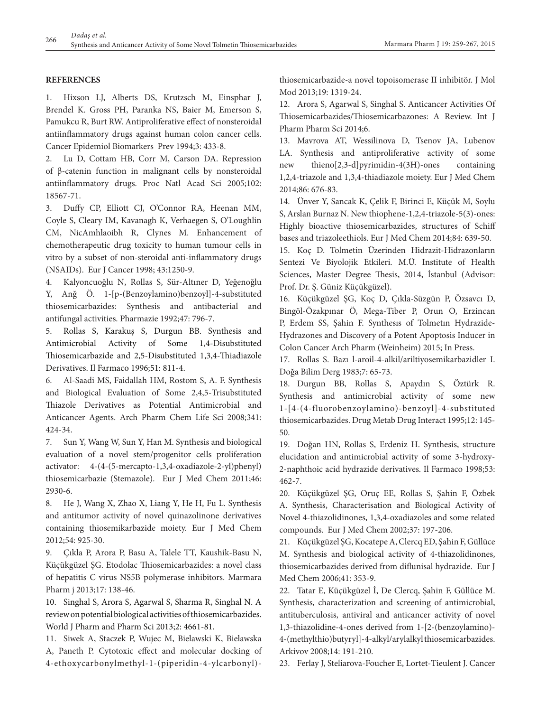### **REFERENCES**

1. Hixson LJ, Alberts DS, Krutzsch M, Einsphar J, Brendel K. Gross PH, Paranka NS, Baier M, Emerson S, Pamukcu R, Burt RW. Antiproliferative effect of nonsteroidal antiinflammatory drugs against human colon cancer cells. Cancer Epidemiol Biomarkers Prev 1994;3: 433-8.

2. Lu D, Cottam HB, Corr M, Carson DA. Repression of β-catenin function in malignant cells by nonsteroidal antiinflammatory drugs. Proc Natl Acad Sci 2005;102: 18567-71.

3. Duffy CP, Elliott CJ, O'Connor RA, Heenan MM, Coyle S, Cleary IM, Kavanagh K, Verhaegen S, O'Loughlin CM, NicAmhlaoibh R, Clynes M. Enhancement of chemotherapeutic drug toxicity to human tumour cells in vitro by a subset of non-steroidal anti-inflammatory drugs (NSAIDs). Eur J Cancer 1998; 43:1250-9.

4. Kalyoncuoğlu N, Rollas S, Sür-Altıner D, Yeğenoğlu Y, Anğ Ö. 1-[p-(Benzoylamino)benzoyl]-4-substituted thiosemicarbazides: Synthesis and antibacterial and antifungal activities. Pharmazie 1992;47: 796-7.

5. Rollas S, Karakuş S, Durgun BB. Synthesis and Antimicrobial Activity of Some 1,4-Disubstituted Thiosemicarbazide and 2,5-Disubstituted 1,3,4-Thiadiazole Derivatives. Il Farmaco 1996;51: 811-4.

6. Al-Saadi MS, Faidallah HM, Rostom S, A. F. Synthesis and Biological Evaluation of Some 2,4,5-Trisubstituted Thiazole Derivatives as Potential Antimicrobial and Anticancer Agents. Arch Pharm Chem Life Sci 2008;341: 424-34.

7. Sun Y, Wang W, Sun Y, Han M. Synthesis and biological evaluation of a novel stem/progenitor cells proliferation activator: 4-(4-(5-mercapto-1,3,4-oxadiazole-2-yl)phenyl) thiosemicarbazie (Stemazole). Eur J Med Chem 2011;46: 2930-6.

8. He J, Wang X, Zhao X, Liang Y, He H, Fu L. Synthesis and antitumor activity of novel quinazolinone derivatives containing thiosemikarbazide moiety. Eur J Med Chem 2012;54: 925-30.

9. Çıkla P, Arora P, Basu A, Talele TT, Kaushik-Basu N, Küçükgüzel ŞG. Etodolac Thiosemicarbazides: a novel class of hepatitis C virus NS5B polymerase inhibitors. Marmara Pharm j 2013;17: 138-46.

10. Singhal S, Arora S, Agarwal S, Sharma R, Singhal N. A review on potential biological activities of thiosemicarbazides. World J Pharm and Pharm Sci 2013;2: 4661-81.

11. Siwek A, Staczek P, Wujec M, Bielawski K, Bielawska A, Paneth P. Cytotoxic effect and molecular docking of 4-ethoxycarbonylmethyl-1-(piperidin-4-ylcarbonyl)-

thiosemicarbazide-a novel topoisomerase II inhibitör. J Mol Mod 2013;19: 1319-24.

12. Arora S, Agarwal S, Singhal S. Anticancer Activities Of Thiosemicarbazides/Thiosemicarbazones: A Review. Int J Pharm Pharm Sci 2014;6.

13. Mavrova AT, Wessilinova D, Tsenov JA, Lubenov LA. Synthesis and antiproliferative activity of some new thieno[2,3-d]pyrimidin-4(3H)-ones containing 1,2,4-triazole and 1,3,4-thiadiazole moiety. Eur J Med Chem 2014;86: 676-83.

14. Ünver Y, Sancak K, Çelik F, Birinci E, Küçük M, Soylu S, Arslan Burnaz N. New thiophene-1,2,4-triazole-5(3)-ones: Highly bioactive thiosemicarbazides, structures of Schiff bases and triazoleethiols. Eur J Med Chem 2014;84: 639-50.

15. Koç D. Tolmetin Üzerinden Hidrazit-Hidrazonların Sentezi Ve Biyolojik Etkileri. M.Ü. Institute of Health Sciences, Master Degree Thesis, 2014, İstanbul (Advisor: Prof. Dr. Ş. Güniz Küçükgüzel).

16. Küçükgüzel ŞG, Koç D, Çıkla-Süzgün P, Özsavcı D, Bingöl-Özakpınar Ö, Mega-Tiber P, Orun O, Erzincan P, Erdem SS, Şahin F. Synthesıs of Tolmetın Hydrazide-Hydrazones and Discovery of a Potent Apoptosis Inducer in Colon Cancer Arch Pharm (Weinheim) 2015; In Press.

17. Rollas S. Bazı l-aroil-4-alkil/ariltiyosemikarbazidler I. Doğa Bilim Derg 1983;7: 65-73.

18. Durgun BB, Rollas S, Apaydın S, Öztürk R. Synthesis and antimicrobial activity of some new 1-[4-(4-fluorobenzoylamino)-benzoyl]-4-substituted thiosemicarbazides. Drug Metab Drug Interact 1995;12: 145- 50.

19. Doğan HN, Rollas S, Erdeniz H. Synthesis, structure elucidation and antimicrobial activity of some 3-hydroxy-2-naphthoic acid hydrazide derivatives. Il Farmaco 1998;53: 462-7.

20. Küçükgüzel ŞG, Oruç EE, Rollas S, Şahin F, Özbek A. Synthesis, Characterisation and Biological Activity of Novel 4-thiazolidinones, 1,3,4-oxadiazoles and some related compounds. Eur J Med Chem 2002;37: 197-206.

21. Küçükgüzel ŞG, Kocatepe A, Clercq ED, Şahin F, Güllüce M. Synthesis and biological activity of 4-thiazolidinones, thiosemicarbazides derived from diflunisal hydrazide. Eur J Med Chem 2006;41: 353-9.

22. Tatar E, Küçükgüzel İ, De Clercq, Şahin F, Güllüce M. Synthesis, characterization and screening of antimicrobial, antituberculosis, antiviral and anticancer activity of novel 1,3-thiazolidine-4-ones derived from 1-[2-(benzoylamino)- 4-(methylthio)butyryl]-4-alkyl/arylalkyl thiosemicarbazides. Arkivov 2008;14: 191-210.

23. Ferlay J, Steliarova-Foucher E, Lortet-Tieulent J. Cancer